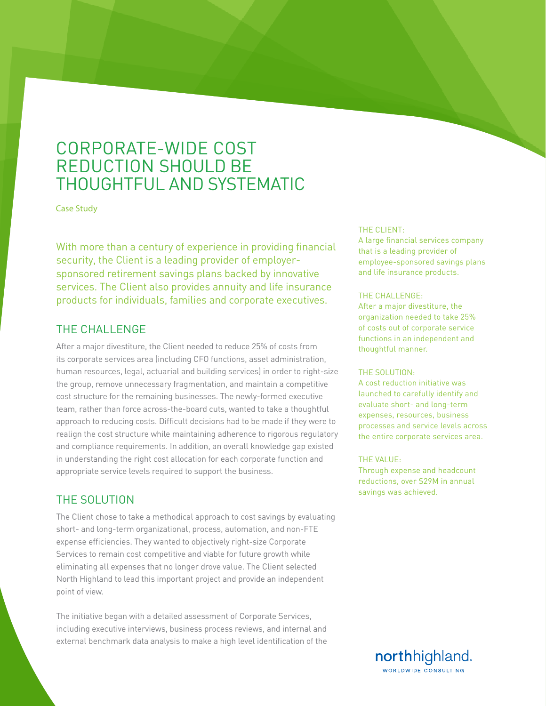# CORPORATE-WIDE COST REDUCTION SHOULD BE THOUGHTFUL AND SYSTEMATIC

Case Study

With more than a century of experience in providing financial security, the Client is a leading provider of employersponsored retirement savings plans backed by innovative services. The Client also provides annuity and life insurance products for individuals, families and corporate executives.

# THE CHALLENGE

After a major divestiture, the Client needed to reduce 25% of costs from its corporate services area (including CFO functions, asset administration, human resources, legal, actuarial and building services) in order to right-size the group, remove unnecessary fragmentation, and maintain a competitive cost structure for the remaining businesses. The newly-formed executive team, rather than force across-the-board cuts, wanted to take a thoughtful approach to reducing costs. Difficult decisions had to be made if they were to realign the cost structure while maintaining adherence to rigorous regulatory and compliance requirements. In addition, an overall knowledge gap existed in understanding the right cost allocation for each corporate function and appropriate service levels required to support the business.

## THE SOLUTION

The Client chose to take a methodical approach to cost savings by evaluating short- and long-term organizational, process, automation, and non-FTE expense efficiencies. They wanted to objectively right-size Corporate Services to remain cost competitive and viable for future growth while eliminating all expenses that no longer drove value. The Client selected North Highland to lead this important project and provide an independent point of view.

The initiative began with a detailed assessment of Corporate Services, including executive interviews, business process reviews, and internal and external benchmark data analysis to make a high level identification of the

### THE CLIENT:

A large financial services company that is a leading provider of employee-sponsored savings plans and life insurance products.

#### THE CHALLENGE:

After a major divestiture, the organization needed to take 25% of costs out of corporate service functions in an independent and thoughtful manner.

#### THE SOLUTION:

A cost reduction initiative was launched to carefully identify and evaluate short- and long-term expenses, resources, business processes and service levels across the entire corporate services area.

#### THE VALUE:

Through expense and headcount reductions, over \$29M in annual savings was achieved.

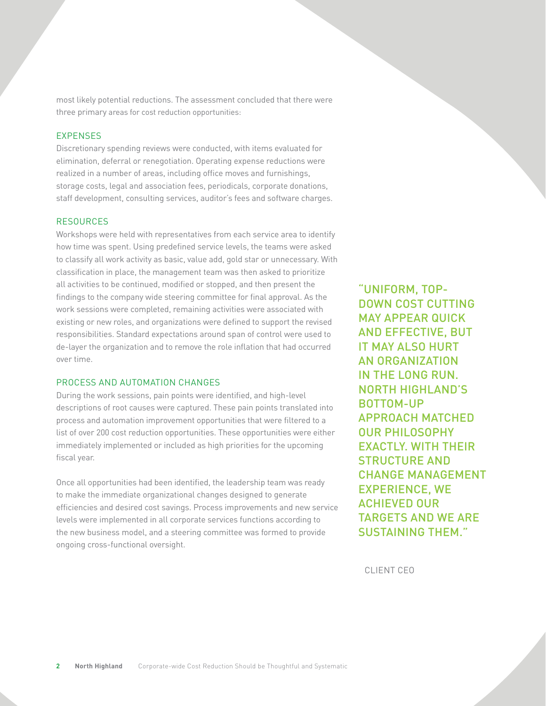most likely potential reductions. The assessment concluded that there were three primary areas for cost reduction opportunities:

### EXPENSES

Discretionary spending reviews were conducted, with items evaluated for elimination, deferral or renegotiation. Operating expense reductions were realized in a number of areas, including office moves and furnishings, storage costs, legal and association fees, periodicals, corporate donations, staff development, consulting services, auditor's fees and software charges.

### RESOURCES

Workshops were held with representatives from each service area to identify how time was spent. Using predefined service levels, the teams were asked to classify all work activity as basic, value add, gold star or unnecessary. With classification in place, the management team was then asked to prioritize all activities to be continued, modified or stopped, and then present the findings to the company wide steering committee for final approval. As the work sessions were completed, remaining activities were associated with existing or new roles, and organizations were defined to support the revised responsibilities. Standard expectations around span of control were used to de-layer the organization and to remove the role inflation that had occurred over time.

### PROCESS AND AUTOMATION CHANGES

During the work sessions, pain points were identified, and high-level descriptions of root causes were captured. These pain points translated into process and automation improvement opportunities that were filtered to a list of over 200 cost reduction opportunities. These opportunities were either immediately implemented or included as high priorities for the upcoming fiscal year.

Once all opportunities had been identified, the leadership team was ready to make the immediate organizational changes designed to generate efficiencies and desired cost savings. Process improvements and new service levels were implemented in all corporate services functions according to the new business model, and a steering committee was formed to provide ongoing cross-functional oversight.

"UNIFORM, TOP-DOWN COST CUTTING MAY APPEAR QUICK AND EFFECTIVE, BUT IT MAY ALSO HURT AN ORGANIZATION IN THE LONG RUN. NORTH HIGHLAND'S BOTTOM-UP APPROACH MATCHED OUR PHILOSOPHY EXACTLY. WITH THEIR STRUCTURE AND CHANGE MANAGEMENT EXPERIENCE, WE ACHIEVED OUR TARGETS AND WE ARE SUSTAINING THEM."

CLIENT CEO